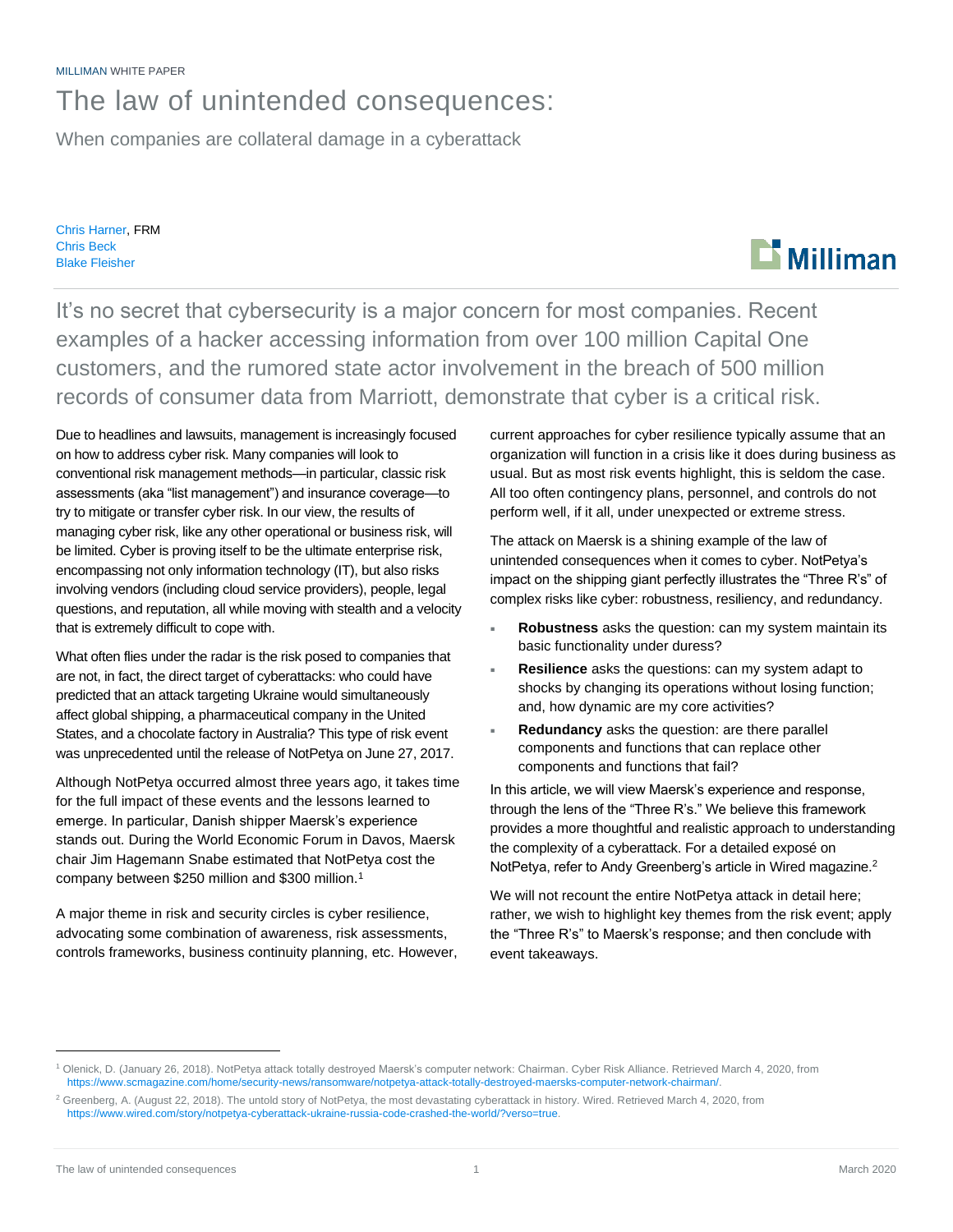MILLIMAN WHITE PAPER

## The law of unintended consequences:

When companies are collateral damage in a cyberattack

Chris Harner, FRM Chris Beck Blake Fleisher

# **Nilliman**

It's no secret that cybersecurity is a major concern for most companies. Recent examples of a hacker accessing information from over 100 million Capital One customers, and the rumored state actor involvement in the breach of 500 million records of consumer data from Marriott, demonstrate that cyber is a critical risk.

Due to headlines and lawsuits, management is increasingly focused on how to address cyber risk. Many companies will look to conventional risk management methods—in particular, classic risk assessments (aka "list management") and insurance coverage—to try to mitigate or transfer cyber risk. In our view, the results of managing cyber risk, like any other operational or business risk, will be limited. Cyber is proving itself to be the ultimate enterprise risk, encompassing not only information technology (IT), but also risks involving vendors (including cloud service providers), people, legal questions, and reputation, all while moving with stealth and a velocity that is extremely difficult to cope with.

What often flies under the radar is the risk posed to companies that are not, in fact, the direct target of cyberattacks: who could have predicted that an attack targeting Ukraine would simultaneously affect global shipping, a pharmaceutical company in the United States, and a chocolate factory in Australia? This type of risk event was unprecedented until the release of NotPetya on June 27, 2017.

Although NotPetya occurred almost three years ago, it takes time for the full impact of these events and the lessons learned to emerge. In particular, Danish shipper Maersk's experience stands out. During the World Economic Forum in Davos, Maersk chair [Jim Hagemann Snabe](https://www.scmagazine.com/home/security-news/ransomware/notpetya-attack-totally-destroyed-maersks-computer-network-chairman/) estimated that NotPetya cost the company between \$250 million and \$300 million.<sup>1</sup>

A major theme in risk and security circles is cyber resilience, advocating some combination of awareness, risk assessments, controls frameworks, business continuity planning, etc. However, current approaches for cyber resilience typically assume that an organization will function in a crisis like it does during business as usual. But as most risk events highlight, this is seldom the case. All too often contingency plans, personnel, and controls do not perform well, if it all, under unexpected or extreme stress.

The attack on Maersk is a shining example of the law of unintended consequences when it comes to cyber. NotPetya's impact on the shipping giant perfectly illustrates the "Three R's" of complex risks like cyber: robustness, resiliency, and redundancy.

- **Robustness** asks the question: can my system maintain its basic functionality under duress?
- **Resilience** asks the questions: can my system adapt to shocks by changing its operations without losing function; and, how dynamic are my core activities?
- **Redundancy** asks the question: are there parallel components and functions that can replace other components and functions that fail?

In this article, we will view Maersk's experience and response, through the lens of the "Three R's." We believe this framework provides a more thoughtful and realistic approach to understanding the complexity of a cyberattack. For a detailed exposé on NotPetya, refer to Andy Greenberg's article i[n Wired](https://www.wired.com/story/notpetya-cyberattack-ukraine-russia-code-crashed-the-world/?verso=true) magazine.<sup>2</sup>

We will not recount the entire NotPetya attack in detail here; rather, we wish to highlight key themes from the risk event; apply the "Three R's" to Maersk's response; and then conclude with event takeaways.

<sup>1</sup> Olenick, D. (January 26, 2018). NotPetya attack totally destroyed Maersk's computer network: Chairman. Cyber Risk Alliance. Retrieved March 4, 2020, from [https://www.scmagazine.com/home/security-news/ransomware/notpetya-attack-totally-destroyed-maersks-computer-network-chairman/.](https://www.scmagazine.com/home/security-news/ransomware/notpetya-attack-totally-destroyed-maersks-computer-network-chairman/)

<sup>&</sup>lt;sup>2</sup> Greenberg, A. (August 22, 2018). The untold story of NotPetya, the most devastating cyberattack in history. Wired. Retrieved March 4, 2020, from [https://www.wired.com/story/notpetya-cyberattack-ukraine-russia-code-crashed-the-world/?verso=true.](https://www.wired.com/story/notpetya-cyberattack-ukraine-russia-code-crashed-the-world/?verso=true)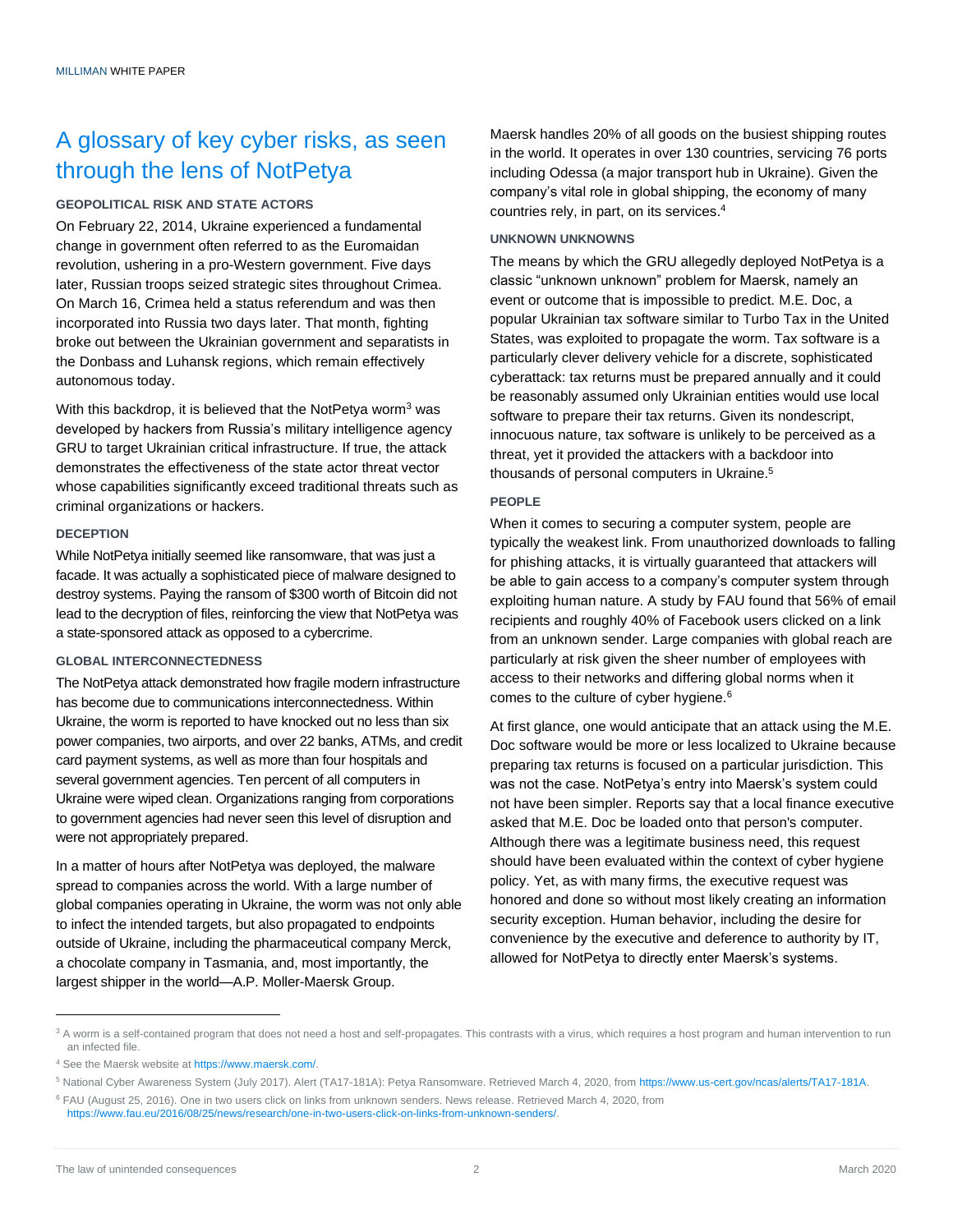### A glossary of key cyber risks, as seen through the lens of NotPetya

#### **GEOPOLITICAL RISK AND STATE ACTORS**

On February 22, 2014, Ukraine experienced a fundamental change in government often referred to as the Euromaidan revolution, ushering in a pro-Western government. Five days later, Russian troops seized strategic sites throughout Crimea. On March 16, Crimea held a status referendum and was then incorporated into Russia two days later. That month, fighting broke out between the Ukrainian government and separatists in the Donbass and Luhansk regions, which remain effectively autonomous today.

With this backdrop, it is believed that the NotPetya worm<sup>3</sup> was developed by hackers from Russia's military intelligence agency GRU to target Ukrainian critical infrastructure. If true, the attack demonstrates the effectiveness of the state actor threat vector whose capabilities significantly exceed traditional threats such as criminal organizations or hackers.

#### **DECEPTION**

While NotPetya initially seemed like ransomware, that was just a facade. It was actually a sophisticated piece of malware designed to destroy systems. Paying the ransom of \$300 worth of Bitcoin did not lead to the decryption of files, reinforcing the view that NotPetya was a state-sponsored attack as opposed to a cybercrime.

#### **GLOBAL INTERCONNECTEDNESS**

The NotPetya attack demonstrated how fragile modern infrastructure has become due to communications interconnectedness. Within Ukraine, the worm is reported to have knocked out no less than six power companies, two airports, and over 22 banks, ATMs, and credit card payment systems, as well as more than four hospitals and several government agencies. Ten percent of all computers in Ukraine were wiped clean. Organizations ranging from corporations to government agencies had never seen this level of disruption and were not appropriately prepared.

In a matter of hours after NotPetya was deployed, the malware spread to companies across the world. With a large number of global companies operating in Ukraine, the worm was not only able to infect the intended targets, but also propagated to endpoints outside of Ukraine, including the pharmaceutical company Merck, a chocolate company in Tasmania, and, most importantly, the largest shipper in the world—A.P. Moller-Maersk Group.

[Maersk](https://www.maersk.com/) handles 20% of all goods on the busiest shipping routes in the world. It operates in over 130 countries, servicing 76 ports including Odessa (a major transport hub in Ukraine). Given the company's vital role in global shipping, the economy of many countries rely, in part, on its services.<sup>4</sup>

#### **UNKNOWN UNKNOWNS**

The means by which the GRU allegedly deployed NotPetya is a classic "unknown unknown" problem for Maersk, namely an event or outcome that is impossible to predict. [M.E. Doc,](https://www.us-cert.gov/ncas/alerts/TA17-181A) a popular Ukrainian tax software similar to Turbo Tax in the United States, was exploited to propagate the worm. Tax software is a particularly clever delivery vehicle for a discrete, sophisticated cyberattack: tax returns must be prepared annually and it could be reasonably assumed only Ukrainian entities would use local software to prepare their tax returns. Given its nondescript, innocuous nature, tax software is unlikely to be perceived as a threat, yet it provided the attackers with a backdoor into thousands of personal computers in Ukraine.<sup>5</sup>

#### **PEOPLE**

When it comes to securing a computer system, people are typically the weakest link. From unauthorized downloads to falling for phishing attacks, it is virtually guaranteed that attackers will be able to gain access to a company's computer system through exploiting human nature. [A study](https://www.fau.eu/2016/08/25/news/research/one-in-two-users-click-on-links-from-unknown-senders/) by FAU found that 56% of email recipients and roughly 40% of Facebook users clicked on a link from an unknown sender. Large companies with global reach are particularly at risk given the sheer number of employees with access to their networks and differing global norms when it comes to the culture of cyber hygiene.<sup>6</sup>

At first glance, one would anticipate that an attack using the M.E. Doc software would be more or less localized to Ukraine because preparing tax returns is focused on a particular jurisdiction. This was not the case. NotPetya's entry into Maersk's system could not have been simpler. Reports say that a local finance executive asked that M.E. Doc be loaded onto that person's computer. Although there was a legitimate business need, this request should have been evaluated within the context of cyber hygiene policy. Yet, as with many firms, the executive request was honored and done so without most likely creating an information security exception. Human behavior, including the desire for convenience by the executive and deference to authority by IT, allowed for NotPetya to directly enter Maersk's systems.

<sup>&</sup>lt;sup>3</sup> A worm is a self-contained program that does not need a host and self-propagates. This contrasts with a virus, which requires a host program and human intervention to run an infected file.

<sup>4</sup> See the Maersk website at [https://www.maersk.com/.](https://www.maersk.com/)

<sup>5</sup> National Cyber Awareness System (July 2017). Alert (TA17-181A): Petya Ransomware. Retrieved March 4, 2020, from [https://www.us-cert.gov/ncas/alerts/TA17-181A.](https://www.us-cert.gov/ncas/alerts/TA17-181A) <sup>6</sup> FAU (August 25, 2016). One in two users click on links from unknown senders. News release. Retrieved March 4, 2020, from

[https://www.fau.eu/2016/08/25/news/research/one-in-two-users-click-on-links-from-unknown-senders/.](https://www.fau.eu/2016/08/25/news/research/one-in-two-users-click-on-links-from-unknown-senders/)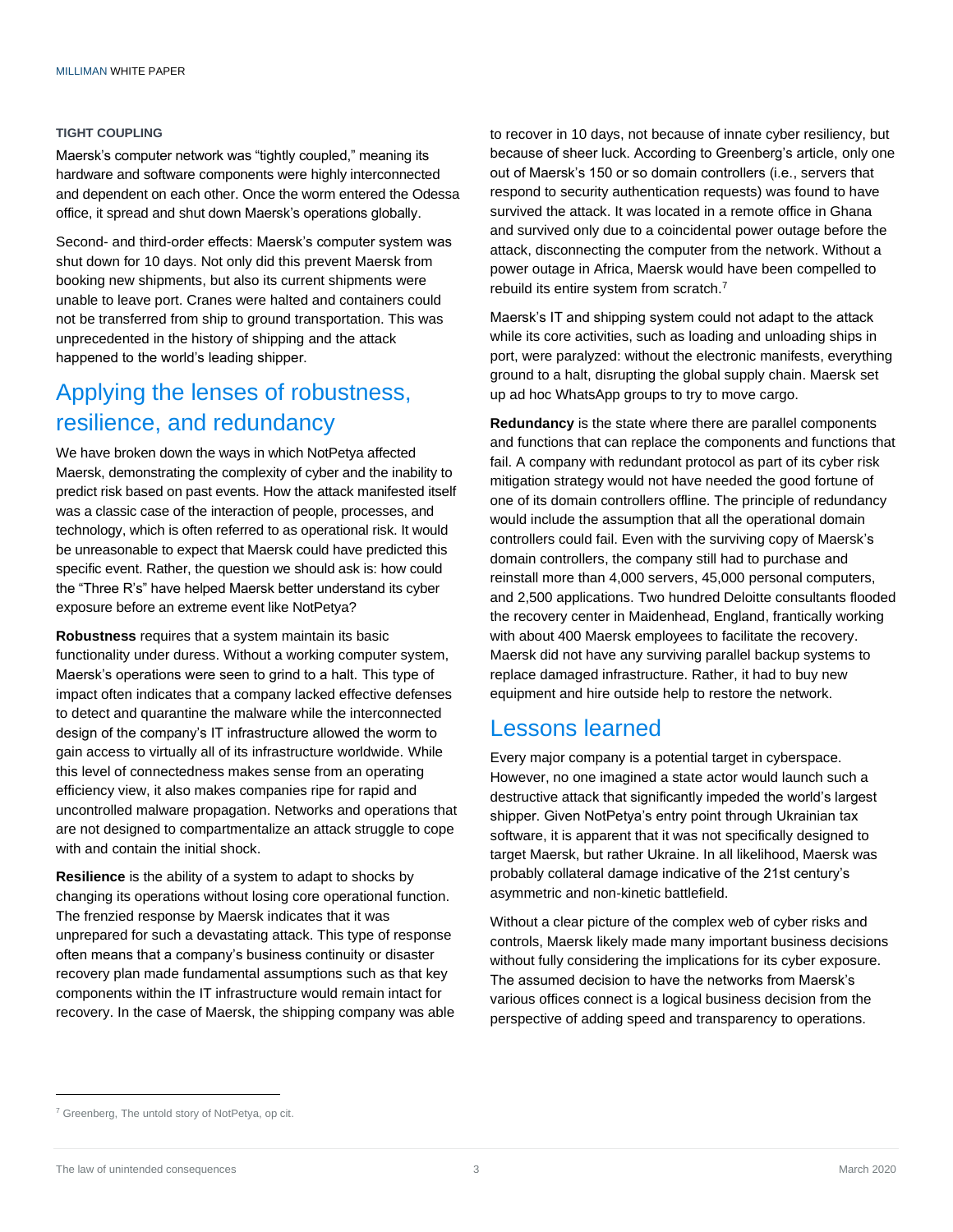#### **TIGHT COUPLING**

Maersk's computer network was "tightly coupled," meaning its hardware and software components were highly interconnected and dependent on each other. Once the worm entered the Odessa office, it spread and shut down Maersk's operations globally.

Second- and third-order effects: Maersk's computer system was shut down for 10 days. Not only did this prevent Maersk from booking new shipments, but also its current shipments were unable to leave port. Cranes were halted and containers could not be transferred from ship to ground transportation. This was [unprecedented](https://www.wired.com/story/notpetya-cyberattack-ukraine-russia-code-crashed-the-world/?verso=true) in the history of shipping and the attack happened to the world's leading shipper.

### Applying the lenses of robustness, resilience, and redundancy

We have broken down the ways in which NotPetya affected Maersk, demonstrating the complexity of cyber and the inability to predict risk based on past events. How the attack manifested itself was a classic case of the interaction of people, processes, and technology, which is often referred to as operational risk. It would be unreasonable to expect that Maersk could have predicted this specific event. Rather, the question we should ask is: how could the "Three R's" have helped Maersk better understand its cyber exposure before an extreme event like NotPetya?

**Robustness** requires that a system maintain its basic functionality under duress. Without a working computer system, Maersk's operations were seen to grind to a halt. This type of impact often indicates that a company lacked effective defenses to detect and quarantine the malware while the interconnected design of the company's IT infrastructure allowed the worm to gain access to virtually all of its infrastructure worldwide. While this level of connectedness makes sense from an operating efficiency view, it also makes companies ripe for rapid and uncontrolled malware propagation. Networks and operations that are not designed to compartmentalize an attack struggle to cope with and contain the initial shock.

**Resilience** is the ability of a system to adapt to shocks by changing its operations without losing core operational function. The frenzied response by Maersk indicates that it was unprepared for such a devastating attack. This type of response often means that a company's business continuity or disaster recovery plan made fundamental assumptions such as that key components within the IT infrastructure would remain intact for recovery. In the case of Maersk, the shipping company was able to recover in 10 days, not because of innate cyber resiliency, but because of sheer luck. According to Greenberg's article, only one out of Maersk's 150 or so domain controllers (i.e., servers that respond to security authentication requests) was found to have survived the attack. It was located in a remote office in Ghana and survived only due to a coincidental power outage before the attack, disconnecting the computer from the network. Without a power outage in Africa, Maersk would have been compelled to rebuild its entire system from scratch.<sup>7</sup>

Maersk's IT and shipping system could not adapt to the attack while its core activities, such as loading and unloading ships in port, were paralyzed: without the electronic manifests, everything ground to a halt, disrupting the global supply chain. Maersk set up ad hoc WhatsApp groups to try to move cargo.

**Redundancy** is the state where there are parallel components and functions that can replace the components and functions that fail. A company with redundant protocol as part of its cyber risk mitigation strategy would not have needed the good fortune of one of its domain controllers offline. The principle of redundancy would include the assumption that all the operational domain controllers could fail. Even with the surviving copy of Maersk's domain controllers, the company still had to purchase and reinstall more than 4,000 servers, 45,000 personal computers, and 2,500 applications. [Two hundred Deloitte](https://www.wired.com/story/notpetya-cyberattack-ukraine-russia-code-crashed-the-world/?verso=true) consultants flooded the recovery center in Maidenhead, England, frantically working with about 400 Maersk employees to facilitate the recovery. Maersk did not have any surviving parallel backup systems to replace damaged infrastructure. Rather, it had to buy new equipment and hire outside help to restore the network.

### Lessons learned

Every major company is a potential target in cyberspace. However, no one imagined a state actor would launch such a destructive attack that significantly impeded the world's largest shipper. Given NotPetya's entry point through Ukrainian tax software, it is apparent that it was not specifically designed to target Maersk, but rather Ukraine. In all likelihood, Maersk was probably collateral damage indicative of the 21st century's asymmetric and non-kinetic battlefield.

Without a clear picture of the complex web of cyber risks and controls, Maersk likely made many important business decisions without fully considering the implications for its cyber exposure. The assumed decision to have the networks from Maersk's various offices connect is a logical business decision from the perspective of adding speed and transparency to operations.

The law of unintended consequences 3 March 2020

<sup>&</sup>lt;sup>7</sup> Greenberg, The untold story of NotPetya, op cit.